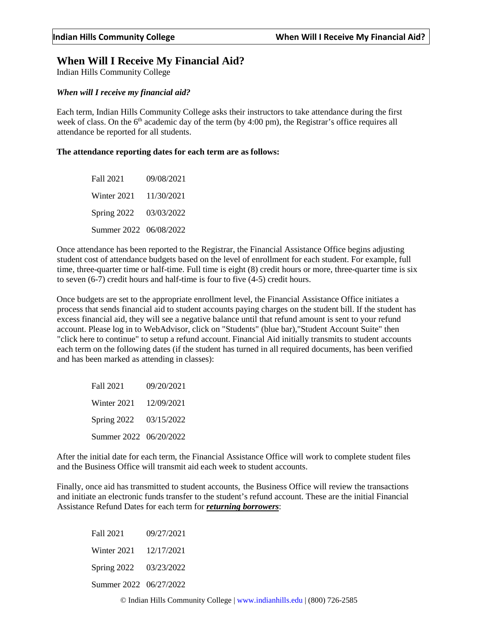## **When Will I Receive My Financial Aid?**

Indian Hills Community College

## *When will I receive my financial aid?*

Each term, Indian Hills Community College asks their instructors to take attendance during the first week of class. On the 6<sup>th</sup> academic day of the term (by 4:00 pm), the Registrar's office requires all attendance be reported for all students.

## **The attendance reporting dates for each term are as follows:**

Fall 2021 09/08/2021 Winter 2021 11/30/2021 Spring 2022 03/03/2022 Summer 2022 06/08/2022

Once attendance has been reported to the Registrar, the Financial Assistance Office begins adjusting student cost of attendance budgets based on the level of enrollment for each student. For example, full time, three-quarter time or half-time. Full time is eight (8) credit hours or more, three-quarter time is six to seven (6-7) credit hours and half-time is four to five (4-5) credit hours.

Once budgets are set to the appropriate enrollment level, the Financial Assistance Office initiates a process that sends financial aid to student accounts paying charges on the student bill. If the student has excess financial aid, they will see a negative balance until that refund amount is sent to your refund account. Please log in to WebAdvisor, click on "Students" (blue bar),"Student Account Suite" then "click here to continue" to setup a refund account. Financial Aid initially transmits to student accounts each term on the following dates (if the student has turned in all required documents, has been verified and has been marked as attending in classes):

Fall 2021 09/20/2021 Winter 2021 12/09/2021 Spring 2022 03/15/2022 Summer 2022 06/20/2022

After the initial date for each term, the Financial Assistance Office will work to complete student files and the Business Office will transmit aid each week to student accounts.

Finally, once aid has transmitted to student accounts, the Business Office will review the transactions and initiate an electronic funds transfer to the student's refund account. These are the initial Financial Assistance Refund Dates for each term for *returning borrowers*:

Fall 2021 09/27/2021 Winter 2021 12/17/2021 Spring 2022 03/23/2022 Summer 2022 06/27/2022